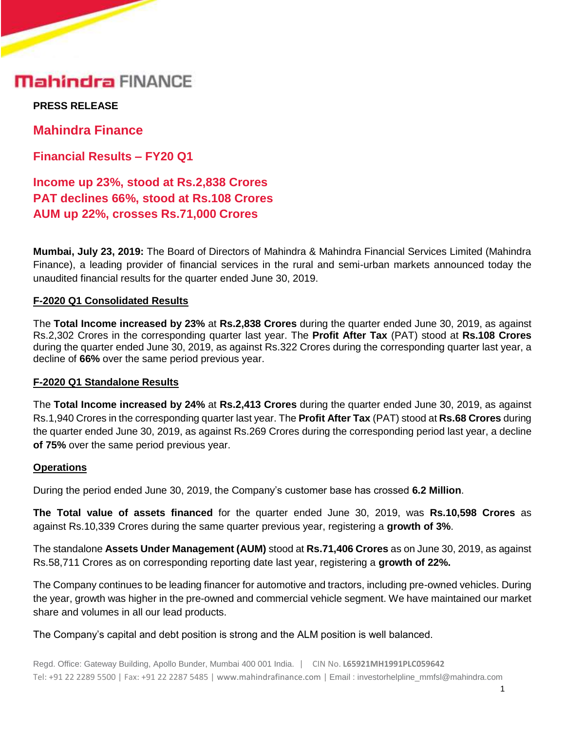## **Mahindra FINANCE**

**PRESS RELEASE** 

**Mahindra Finance**

**Financial Results – FY20 Q1**

**Income up 23%, stood at Rs.2,838 Crores PAT declines 66%, stood at Rs.108 Crores AUM up 22%, crosses Rs.71,000 Crores**

**Mumbai, July 23, 2019:** The Board of Directors of Mahindra & Mahindra Financial Services Limited (Mahindra Finance), a leading provider of financial services in the rural and semi-urban markets announced today the unaudited financial results for the quarter ended June 30, 2019.

#### **F-2020 Q1 Consolidated Results**

The **Total Income increased by 23%** at **Rs.2,838 Crores** during the quarter ended June 30, 2019, as against Rs.2,302 Crores in the corresponding quarter last year. The **Profit After Tax** (PAT) stood at **Rs.108 Crores** during the quarter ended June 30, 2019, as against Rs.322 Crores during the corresponding quarter last year, a decline of **66%** over the same period previous year.

#### **F-2020 Q1 Standalone Results**

The **Total Income increased by 24%** at **Rs.2,413 Crores** during the quarter ended June 30, 2019, as against Rs.1,940 Crores in the corresponding quarter last year. The **Profit After Tax** (PAT) stood at **Rs.68 Crores** during the quarter ended June 30, 2019, as against Rs.269 Crores during the corresponding period last year, a decline **of 75%** over the same period previous year.

#### **Operations**

During the period ended June 30, 2019, the Company's customer base has crossed **6.2 Million**.

**The Total value of assets financed** for the quarter ended June 30, 2019, was **Rs.10,598 Crores** as against Rs.10,339 Crores during the same quarter previous year, registering a **growth of 3%**.

The standalone **Assets Under Management (AUM)** stood at **Rs.71,406 Crores** as on June 30, 2019, as against Rs.58,711 Crores as on corresponding reporting date last year, registering a **growth of 22%.**

The Company continues to be leading financer for automotive and tractors, including pre-owned vehicles. During the year, growth was higher in the pre-owned and commercial vehicle segment. We have maintained our market share and volumes in all our lead products.

The Company's capital and debt position is strong and the ALM position is well balanced.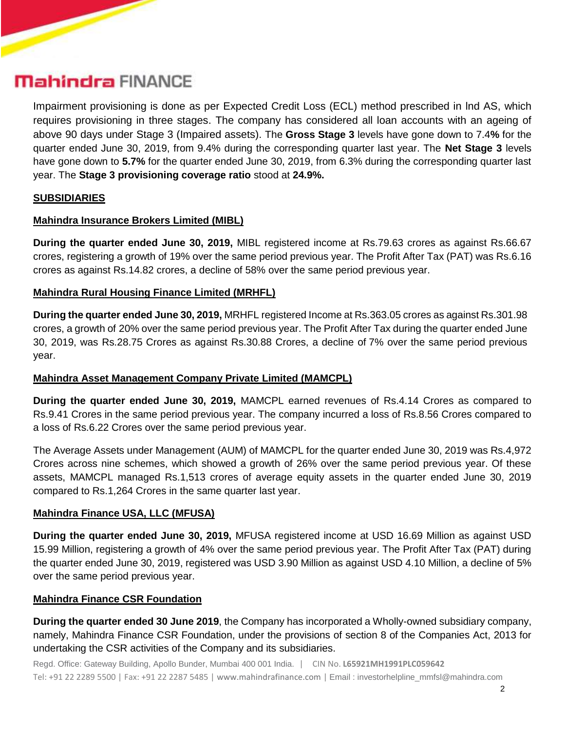## **Mahindra FINANCE**

Impairment provisioning is done as per Expected Credit Loss (ECL) method prescribed in lnd AS, which requires provisioning in three stages. The company has considered all loan accounts with an ageing of above 90 days under Stage 3 (Impaired assets). The **Gross Stage 3** levels have gone down to 7.4**%** for the quarter ended June 30, 2019, from 9.4% during the corresponding quarter last year. The **Net Stage 3** levels have gone down to **5.7%** for the quarter ended June 30, 2019, from 6.3% during the corresponding quarter last year. The **Stage 3 provisioning coverage ratio** stood at **24.9%.** 

## **SUBSIDIARIES**

#### **Mahindra Insurance Brokers Limited (MIBL)**

**During the quarter ended June 30, 2019,** MIBL registered income at Rs.79.63 crores as against Rs.66.67 crores, registering a growth of 19% over the same period previous year. The Profit After Tax (PAT) was Rs.6.16 crores as against Rs.14.82 crores, a decline of 58% over the same period previous year.

#### **Mahindra Rural Housing Finance Limited (MRHFL)**

**During the quarter ended June 30, 2019,** MRHFL registered Income at Rs.363.05 crores as against Rs.301.98 crores, a growth of 20% over the same period previous year. The Profit After Tax during the quarter ended June 30, 2019, was Rs.28.75 Crores as against Rs.30.88 Crores, a decline of 7% over the same period previous year.

## **Mahindra Asset Management Company Private Limited (MAMCPL)**

**During the quarter ended June 30, 2019,** MAMCPL earned revenues of Rs.4.14 Crores as compared to Rs.9.41 Crores in the same period previous year. The company incurred a loss of Rs.8.56 Crores compared to a loss of Rs.6.22 Crores over the same period previous year.

The Average Assets under Management (AUM) of MAMCPL for the quarter ended June 30, 2019 was Rs.4,972 Crores across nine schemes, which showed a growth of 26% over the same period previous year. Of these assets, MAMCPL managed Rs.1,513 crores of average equity assets in the quarter ended June 30, 2019 compared to Rs.1,264 Crores in the same quarter last year.

#### **Mahindra Finance USA, LLC (MFUSA)**

**During the quarter ended June 30, 2019,** MFUSA registered income at USD 16.69 Million as against USD 15.99 Million, registering a growth of 4% over the same period previous year. The Profit After Tax (PAT) during the quarter ended June 30, 2019, registered was USD 3.90 Million as against USD 4.10 Million, a decline of 5% over the same period previous year.

#### **Mahindra Finance CSR Foundation**

**During the quarter ended 30 June 2019**, the Company has incorporated a Wholly-owned subsidiary company, namely, Mahindra Finance CSR Foundation, under the provisions of section 8 of the Companies Act, 2013 for undertaking the CSR activities of the Company and its subsidiaries.